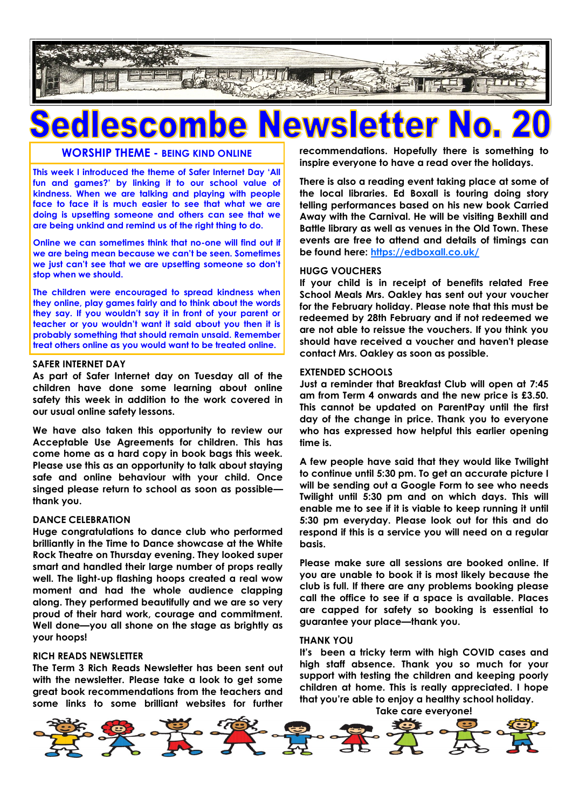

# **WORSHIP THEME - BEING KIND ONLINE**

**This week I introduced the theme of Safer Internet Day 'All fun and games?' by linking it to our school value of kindness. When we are talking and playing with people face to face it is much easier to see that what we are doing is upsetting someone and others can see that we are being unkind and remind us of the right thing to do.**

**Online we can sometimes think that no-one will find out if we are being mean because we can't be seen. Sometimes we just can't see that we are upsetting someone so don't stop when we should.**

**The children were encouraged to spread kindness when they online, play games fairly and to think about the words they say. If you wouldn't say it in front of your parent or teacher or you wouldn't want it said about you then it is probably something that should remain unsaid. Remember treat others online as you would want to be treated online.**

### **SAFER INTERNET DAY**

**As part of Safer Internet day on Tuesday all of the children have done some learning about online safety this week in addition to the work covered in our usual online safety lessons.**

**We have also taken this opportunity to review our Acceptable Use Agreements for children. This has come home as a hard copy in book bags this week. Please use this as an opportunity to talk about staying safe and online behaviour with your child. Once singed please return to school as soon as possible thank you.**

### **DANCE CELEBRATION**

**Huge congratulations to dance club who performed brilliantly in the Time to Dance showcase at the White Rock Theatre on Thursday evening. They looked super smart and handled their large number of props really well. The light-up flashing hoops created a real wow moment and had the whole audience clapping along. They performed beautifully and we are so very proud of their hard work, courage and commitment. Well done—you all shone on the stage as brightly as your hoops!**

## **RICH READS NEWSLETTER**

**The Term 3 Rich Reads Newsletter has been sent out with the newsletter. Please take a look to get some great book recommendations from the teachers and some links to some brilliant websites for further** 

**recommendations. Hopefully there is something to inspire everyone to have a read over the holidays.**

**There is also a reading event taking place at some of the local libraries. Ed Boxall is touring doing story telling performances based on his new book Carried Away with the Carnival. He will be visiting Bexhill and Battle library as well as venues in the Old Town. These events are free to attend and details of timings can be found here: <https://edboxall.co.uk/>**

### **HUGG VOUCHERS**

**If your child is in receipt of benefits related Free School Meals Mrs. Oakley has sent out your voucher for the February holiday. Please note that this must be redeemed by 28th February and if not redeemed we are not able to reissue the vouchers. If you think you should have received a voucher and haven't please contact Mrs. Oakley as soon as possible.**

### **EXTENDED SCHOOLS**

**Just a reminder that Breakfast Club will open at 7:45 am from Term 4 onwards and the new price is £3.50. This cannot be updated on ParentPay until the first day of the change in price. Thank you to everyone who has expressed how helpful this earlier opening time is.**

**A few people have said that they would like Twilight to continue until 5:30 pm. To get an accurate picture I will be sending out a Google Form to see who needs Twilight until 5:30 pm and on which days. This will enable me to see if it is viable to keep running it until 5:30 pm everyday. Please look out for this and do respond if this is a service you will need on a regular basis.**

**Please make sure all sessions are booked online. If you are unable to book it is most likely because the club is full. If there are any problems booking please call the office to see if a space is available. Places are capped for safety so booking is essential to guarantee your place—thank you.**

### **THANK YOU**

**It's been a tricky term with high COVID cases and high staff absence. Thank you so much for your support with testing the children and keeping poorly children at home. This is really appreciated. I hope that you're able to enjoy a healthy school holiday.**